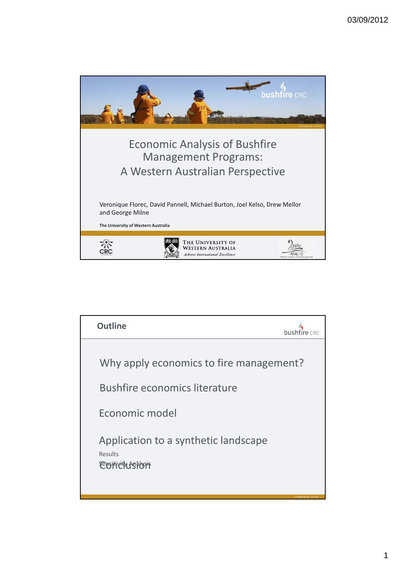

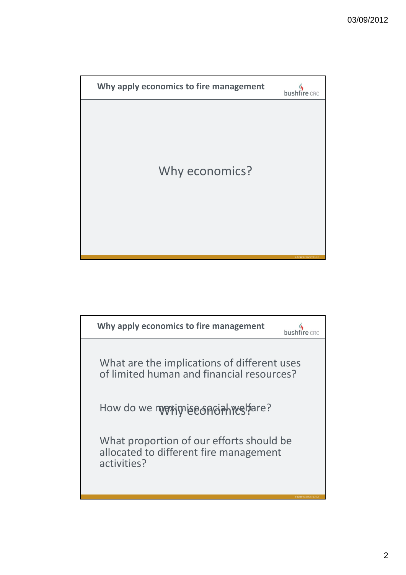

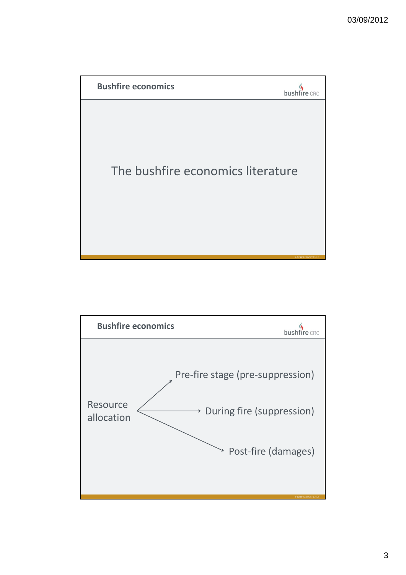

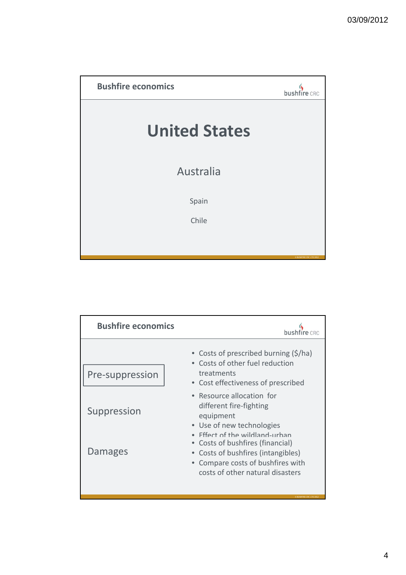

| <b>Bushfire economics</b> |                                                                                                                                             |
|---------------------------|---------------------------------------------------------------------------------------------------------------------------------------------|
| Pre-suppression           | • Costs of prescribed burning (\$/ha)<br>• Costs of other fuel reduction<br>treatments<br>• Cost effectiveness of prescribed                |
| Suppression               | • Resource allocation for<br>different fire-fighting<br>equipment<br>• Use of new technologies<br>Effect of the wildland-urhan              |
| Damages                   | Costs of bushfires (financial)<br>• Costs of bushfires (intangibles)<br>Compare costs of bushfires with<br>costs of other natural disasters |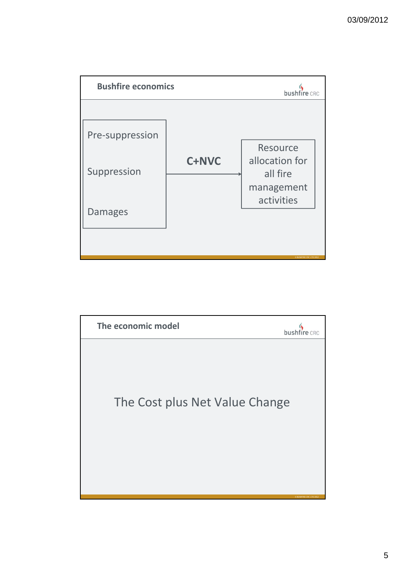

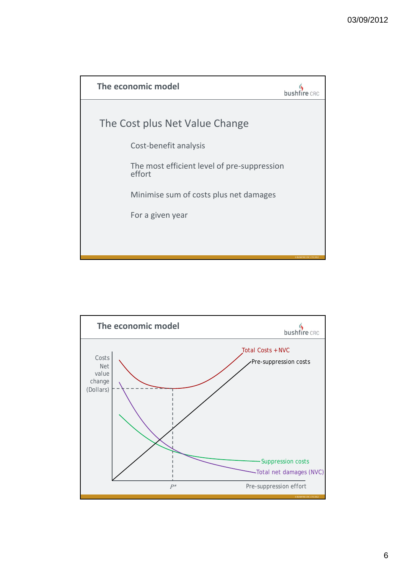

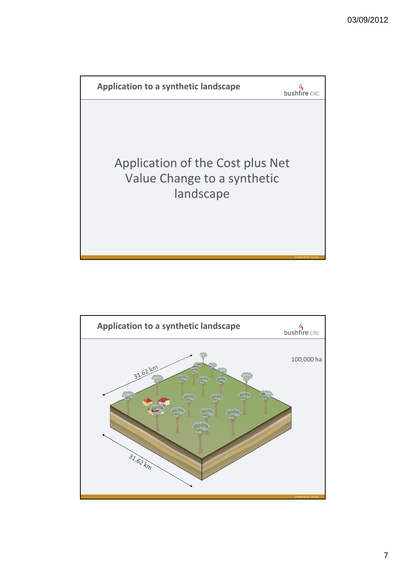

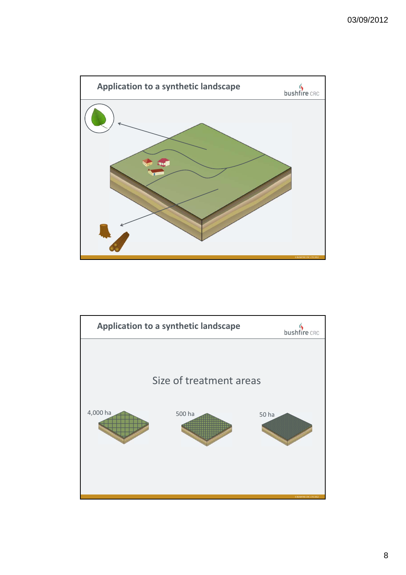

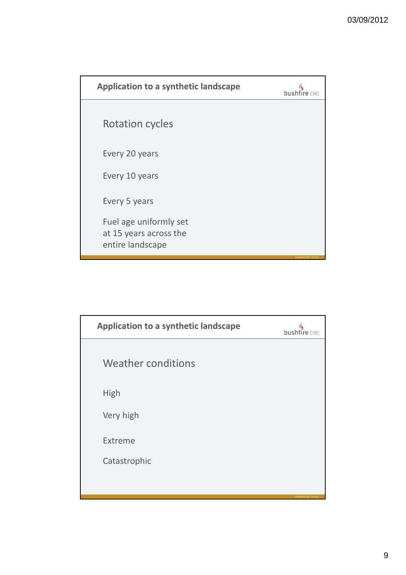| <b>Application to a synthetic landscape</b>                          |                                |
|----------------------------------------------------------------------|--------------------------------|
| <b>Rotation cycles</b>                                               |                                |
| Every 20 years                                                       |                                |
| Every 10 years                                                       |                                |
| Every 5 years                                                        |                                |
| Fuel age uniformly set<br>at 15 years across the<br>entire landscape | <b>© BUSHFIRE CRC LTD 2012</b> |

| Application to a synthetic landscape | bushfire CRC                   |
|--------------------------------------|--------------------------------|
| <b>Weather conditions</b>            |                                |
| <b>High</b>                          |                                |
| Very high                            |                                |
| Extreme                              |                                |
| Catastrophic                         |                                |
|                                      | <b>© BUSHFIRE CRC LTD 2012</b> |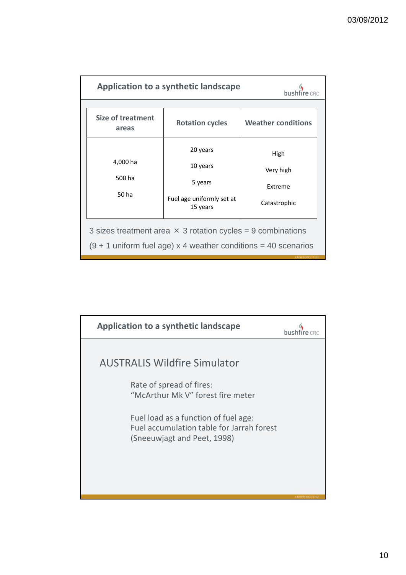| Application to a synthetic landscape                                                                                                   |                                       |                              |  |  |  |
|----------------------------------------------------------------------------------------------------------------------------------------|---------------------------------------|------------------------------|--|--|--|
| <b>Size of treatment</b><br>areas                                                                                                      | <b>Rotation cycles</b>                | <b>Weather conditions</b>    |  |  |  |
| 4,000 ha<br>500 ha<br>50 ha                                                                                                            | 20 years<br>10 years<br>5 years       | High<br>Very high<br>Extreme |  |  |  |
|                                                                                                                                        | Fuel age uniformly set at<br>15 years | Catastrophic                 |  |  |  |
| 3 sizes treatment area $\times$ 3 rotation cycles = 9 combinations<br>$(9 + 1$ uniform fuel age) x 4 weather conditions = 40 scenarios |                                       |                              |  |  |  |

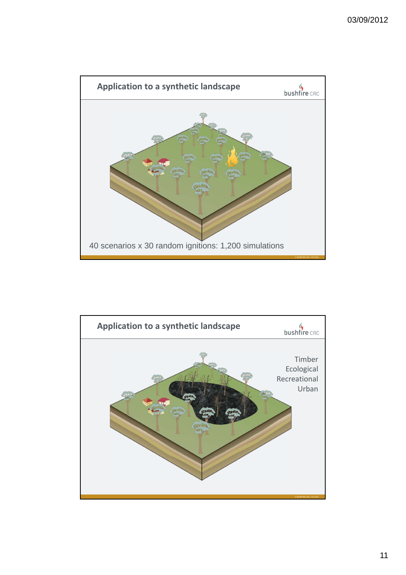

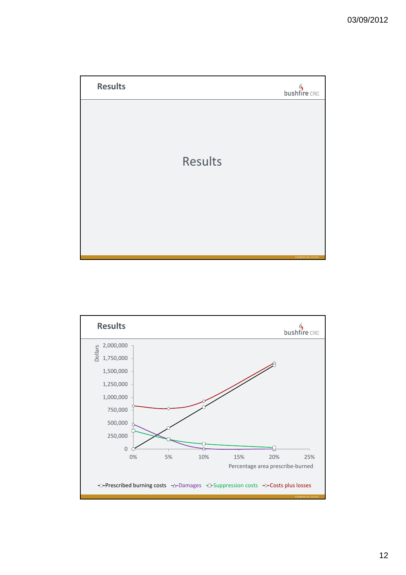

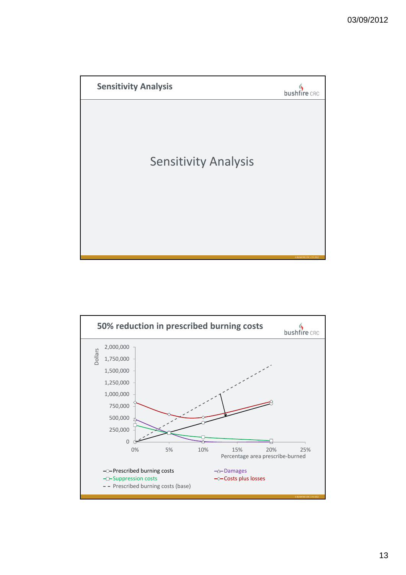

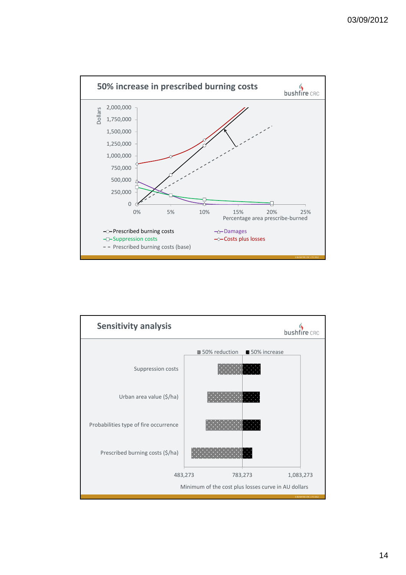

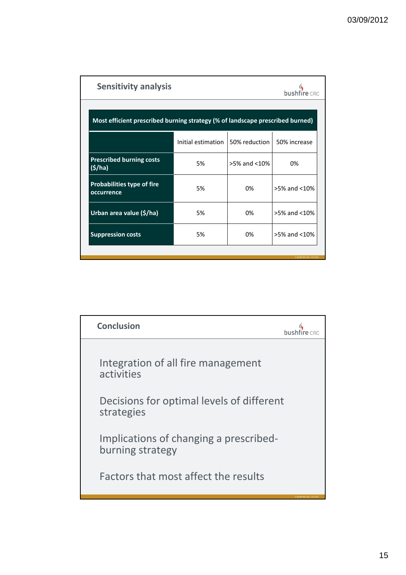| <b>Sensitivity analysis</b>                                                   |                      |                    |                         |  |  |
|-------------------------------------------------------------------------------|----------------------|--------------------|-------------------------|--|--|
| Most efficient prescribed burning strategy (% of landscape prescribed burned) |                      |                    |                         |  |  |
|                                                                               | Initial estimation 1 | 50% reduction      | 50% increase            |  |  |
| <b>Prescribed burning costs</b><br>(5/ha)                                     | 5%                   | $>5\%$ and $<10\%$ | 0%                      |  |  |
| <b>Probabilities type of fire</b><br>occurrence                               | 5%                   | 0%                 | >5% and <10%            |  |  |
| Urban area value (\$/ha)                                                      | 5%                   | 0%                 | $>5\%$ and $<10\%$      |  |  |
| <b>Suppression costs</b>                                                      | 5%                   | 0%                 | $>5\%$ and $<10\%$      |  |  |
|                                                                               |                      |                    | · BUSHFIRE CRC LTD 201: |  |  |

| <b>Conclusion</b>                                          |                         |
|------------------------------------------------------------|-------------------------|
| Integration of all fire management<br>activities           |                         |
| Decisions for optimal levels of different<br>strategies    |                         |
| Implications of changing a prescribed-<br>burning strategy |                         |
| Factors that most affect the results                       | © BUSHFIRE CRC LTD 2012 |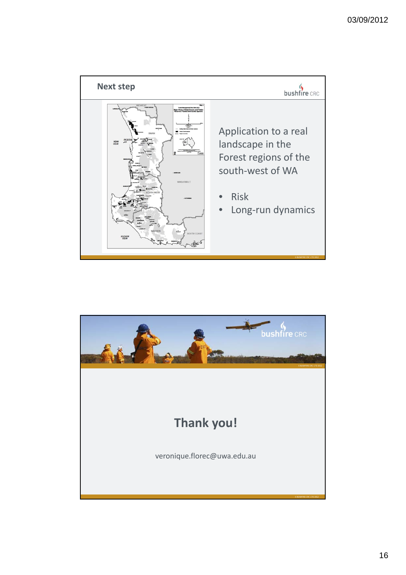